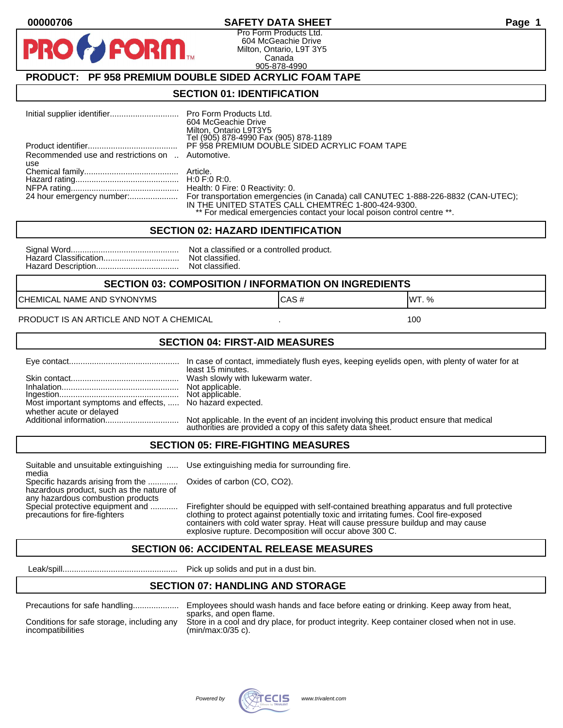### **00000706 SAFETY DATA SHEET Page 1**

Pro Form Products Ltd. 604 McGeachie Drive Milton, Ontario, L9T 3Y5 Canada 905-878-4990

# **PRODUCT: PF 958 PREMIUM DOUBLE SIDED ACRYLIC FOAM TAPE**

**FORM** 

#### **SECTION 01: IDENTIFICATION**

|                                                         | Pro Form Products Ltd.<br>604 McGeachie Drive<br>Milton, Ontario L9T3Y5<br>Tel (905) 878-4990 Fax (905) 878-1189                                                                                                    |
|---------------------------------------------------------|---------------------------------------------------------------------------------------------------------------------------------------------------------------------------------------------------------------------|
|                                                         | PF 958 PREMIUM DOUBLE SIDED ACRYLIC FOAM TAPE                                                                                                                                                                       |
| Recommended use and restrictions on  Automotive.<br>use |                                                                                                                                                                                                                     |
|                                                         |                                                                                                                                                                                                                     |
|                                                         |                                                                                                                                                                                                                     |
|                                                         | Health: 0 Fire: 0 Reactivity: 0.                                                                                                                                                                                    |
| 24 hour emergency number:                               | For transportation emergencies (in Canada) call CANUTEC 1-888-226-8832 (CAN-UTEC);<br>IN THE UNITED STATES CALL CHEMTREC 1-800-424-9300.<br>** For medical emergencies contact your local poison control centre **. |

#### **SECTION 02: HAZARD IDENTIFICATION**

| Not a classified or a controlled product. |
|-------------------------------------------|
|                                           |
|                                           |

#### **SECTION 03: COMPOSITION / INFORMATION ON INGREDIENTS**

CHEMICAL NAME AND SYNONYMS GAS AND CAS # CAS # WT. %

PRODUCT IS AN ARTICLE AND NOT A CHEMICAL **AND THE SET AND A SET ALL ASSAULT** 100

### **SECTION 04: FIRST-AID MEASURES**

|                                                                                       | least 15 minutes.                                                                                                                                    |
|---------------------------------------------------------------------------------------|------------------------------------------------------------------------------------------------------------------------------------------------------|
|                                                                                       |                                                                                                                                                      |
| Most important symptoms and effects,  No hazard expected.<br>whether acute or delayed |                                                                                                                                                      |
|                                                                                       | Not applicable. In the event of an incident involving this product ensure that medical<br>authorities are provided a copy of this safety data sheet. |

#### **SECTION 05: FIRE-FIGHTING MEASURES**

Suitable and unsuitable extinguishing ..... Use extinguishing media for surrounding fire. media

Specific hazards arising from the ............. Oxides of carbon (CO, CO2). hazardous product, such as the nature of any hazardous combustion products

Special protective equipment and ............ Firefighter should be equipped with self-contained breathing apparatus and full protective<br>precautions for fire-fighters continent clothing to protect against potentially toxic clothing to protect against potentially toxic and irritating fumes. Cool fire-exposed containers with cold water spray. Heat will cause pressure buildup and may cause explosive rupture. Decomposition will occur above 300 C.

# **SECTION 06: ACCIDENTAL RELEASE MEASURES**

Leak/spill.................................................. Pick up solids and put in a dust bin.

### **SECTION 07: HANDLING AND STORAGE**

| Precautions for safe handling |  |  |  |
|-------------------------------|--|--|--|
|                               |  |  |  |

incompatibilities (min/max:0/35 c).

Precautions for safe handling.................... Employees should wash hands and face before eating or drinking. Keep away from heat, sparks, and open flame. Conditions for safe storage, including any Store in a cool and dry place, for product integrity. Keep container closed when not in use.

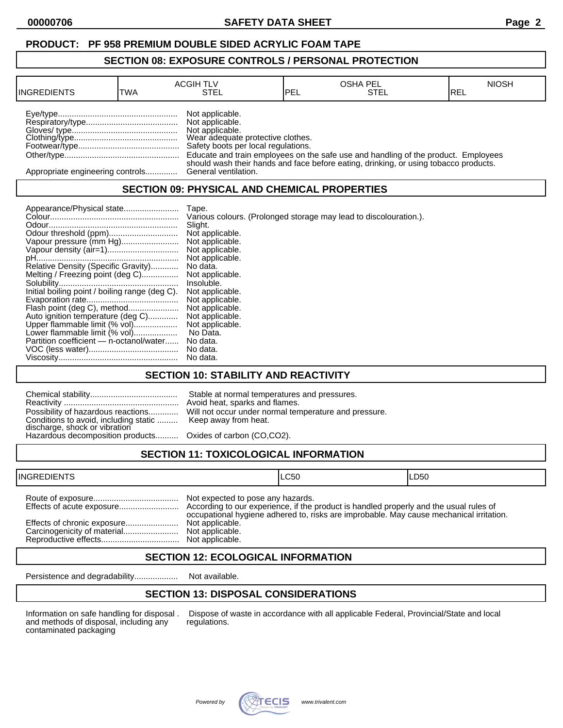#### **PRODUCT: PF 958 PREMIUM DOUBLE SIDED ACRYLIC FOAM TAPE**

#### **SECTION 08: EXPOSURE CONTROLS / PERSONAL PROTECTION**

| <b>INGREDIENTS</b>               | TWA | <b>ACGIH TLV</b><br>STEL                                                                                                          | IPEL | <b>OSHA PEL</b><br>STEL                                                                                                                                                    | <b>NIOSH</b><br>IREL |
|----------------------------------|-----|-----------------------------------------------------------------------------------------------------------------------------------|------|----------------------------------------------------------------------------------------------------------------------------------------------------------------------------|----------------------|
|                                  |     | Not applicable.<br>Not applicable.<br>Not applicable.<br>Wear adequate protective clothes.<br>Safety boots per local regulations. |      | Educate and train employees on the safe use and handling of the product. Employees<br>should wash their hands and face before eating, drinking, or using tobacco products. |                      |
| Appropriate engineering controls |     | General ventilation.                                                                                                              |      |                                                                                                                                                                            |                      |

# **SECTION 09: PHYSICAL AND CHEMICAL PROPERTIES**

|                                                | Tape.                                                             |
|------------------------------------------------|-------------------------------------------------------------------|
|                                                | Various colours. (Prolonged storage may lead to discolouration.). |
|                                                | Slight.                                                           |
|                                                | Not applicable.                                                   |
| Vapour pressure (mm Hg)                        | Not applicable.                                                   |
|                                                | Not applicable.                                                   |
|                                                | Not applicable.                                                   |
| Relative Density (Specific Gravity)            | No data.                                                          |
| Melting / Freezing point (deg C)               | Not applicable.                                                   |
|                                                | Insoluble.                                                        |
| Initial boiling point / boiling range (deg C). | Not applicable.                                                   |
|                                                | Not applicable.                                                   |
| Flash point (deg C), method                    | Not applicable.                                                   |
| Auto ignition temperature (deg C)              | Not applicable.                                                   |
| Upper flammable limit (% vol)                  | Not applicable.                                                   |
| Lower flammable limit (% vol)                  | No Data.                                                          |
| Partition coefficient - n-octanol/water        | No data.                                                          |
|                                                | No data.                                                          |
|                                                | No data.                                                          |

## **SECTION 10: STABILITY AND REACTIVITY**

| Conditions to avoid, including static  Keep away from heat.<br>discharge, shock or vibration<br>Hazardous decomposition products Oxides of carbon (CO,CO2). | Stable at normal temperatures and pressures.<br>Avoid heat, sparks and flames.<br>Possibility of hazardous reactions Will not occur under normal temperature and pressure. |
|-------------------------------------------------------------------------------------------------------------------------------------------------------------|----------------------------------------------------------------------------------------------------------------------------------------------------------------------------|
|                                                                                                                                                             |                                                                                                                                                                            |

# **SECTION 11: TOXICOLOGICAL INFORMATION**

| <b>INGREDIENTS</b> |                                                                                            | ILC50                                                                                   | LD50 |
|--------------------|--------------------------------------------------------------------------------------------|-----------------------------------------------------------------------------------------|------|
|                    | Not expected to pose any hazards.<br>Not applicable.<br>Not applicable.<br>Not applicable. | occupational hygiene adhered to, risks are improbable. May cause mechanical irritation. |      |

## **SECTION 12: ECOLOGICAL INFORMATION**

Persistence and degradability................... Not available.

# **SECTION 13: DISPOSAL CONSIDERATIONS**

and methods of disposal, including any contaminated packaging

Information on safe handling for disposal . Dispose of waste in accordance with all applicable Federal, Provincial/State and local and methods of disposal, including any regulations.